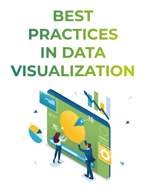# **BEST PRACTICES IN DATA VISUALIZATION**

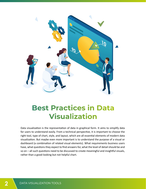

# **Best Practices in Data Visualization**

Data visualization is the representation of data in graphical form. It aims to simplify data for users to understand easily. From a technical perspective, it is important to choose the right tool, type of chart, style, and layout, which are all essential elements of modern data visualization. But maybe even more important is to understand the purpose of a visual or dashboard (a combination of related visual elements). What requirements business users have, what questions they expect to find answers for, what the level of detail should be and so on – all such questions need to be discussed to create meaningful and insightful visuals, rather than a good-looking but not helpful chart.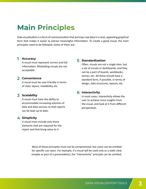# **Main Principles**

Data visualization is a form of communication that portrays raw data in a neat, appealing graphical form that makes it easier to extract meaningful information. To create a good visual, the main principles need to be followed. Some of them are:

#### **Accuracy**

**1 Accuracy**<br> **1** A visual must represent correct and full information. Misleading visuals are not acceptable.

### **2 Convenience**

A visual must be user-friendly in terms of style, layout, readability, etc.

# **<sup>6</sup> <sup>3</sup> Scalability**

A visual must have the ability to accommodate increasing volumes of data and data sources so that reports can be kept up to date.

### **4 Simplicity**

A visual must include only those elements that are required for the report and that bring value to it.

#### **5** Standardization

Often, visuals are not a single item, but a set of visuals or dashboards, and they can be a part of boards, workbooks, stories, etc. All these should have a standard form, if possible, in terms of design, data structures, layouts, etc.

#### **6** Interactivity

In most cases, interactivity allows the user to achieve more insights from the visual, and look at it from different perspectives.

Most of these principles must not be compromised, but some can be omitted for specific use cases. For example, if a visual will be used only as a static view (maybe as part of a presentation), the "interactivity" principle can be omitted.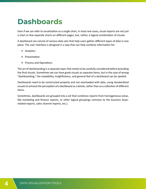# **Dashboards**

Even if we can refer to visualization as a single chart, in most real cases, visual reports are not just a chart or few separate charts on different pages, but, rather, a logical combination of visuals.

A dashboard can consist of various data sets that help users gather different types of data in one place. The user interface is designed in a way that can help combine information for:

- ▶ Analytics
- Presentation
- Process and Operations

The art of dashboarding is a separate topic that needs to be carefully considered before providing the final visuals. Sometimes we can have great visuals as separate items, but in the case of wrong "dashboarding," the readability, insightfulness, and general feel of a dashboard can be spoiled.

Dashboards need to be constructed properly and not overloaded with data, using standardized visuals to achieve the perception of a dashboard as a whole, rather than as a collection of different items.

Sometimes, dashboards are grouped into a set that combines reports from homogeneous areas, like marketing and finance reports, or other logical groupings common to the business (loanrelated reports, sales channel reports, etc.).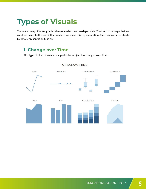# **Types of Visuals**

There are many different graphical ways in which we can depict data. The kind of message that we want to convey to the user influences how we make this representation. The most common charts **Types of Visuals** by data representation type are: There are many to the are minimized from the make this representation. The most common or kind of message that you want to convey the reader that influences how you make the reader that influences how you make the reader that influences how you make the reader that influences how you make the reader that influe

# **1. Change over Time**

This type of chart shows how a particular subject has changed over time. communication that time has had over the difference that time has had over the subject.



#### **CHANGE OVER TIME**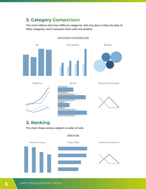### **2. Category Comparison**

This chart reflects data from different categories. Not only does it show the data of these categories, but it compares them with one another. data, but it does so it is a way that the way that the categories are in comparison with the such as the such that the such as the such as the such as the such as the such as the such as the such as the such as the such as rese car



#### **CATEGORY COMPARISON**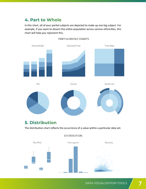# **4. Part to Whole**  5. Part to Whole 5. Part to Whole

In this chart, all of your partial subjects are depicted to make up one big subject. For example, if you want to dissect the entire population across various ethnicities, this chart will help you represent this.



#### PART-to-WHOLE CHARTS

#### 6. Distribution Chart **5. Distribution**

 $\overline{a}$  become charter charter  $\overline{b}$ The distribution chart reflects the occurrence of a value within a particular data set.



#### **DISTRIBUTION**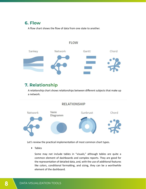### **6. Flow**

A flow chart shows the flow of data from one state to another.

# Sankey Network Gantt Chord

**FLOW** 

### **7. Relationship**

A relationship chart shows relationships between different subjects that make up a network. network.  $A$  relation chart shows relationships between different subjects that make up and make up at  $m$ A relatio 8. Relation Chart A relationship chart shows relationships between different subjects that make

#### **RELATIONSHIP**



Let's review the practical implementation of most common chart types.

that they represent. Horizontal bar charts can be called "column" charts in some sources or tools. Also,

This chart presents categorical data with rectangular bars with heights or lengths proportional to the values

Aforementioned are types of visualizations grouped by form of data representation. Let's  $r_{\text{naures}}$ ▶ Tables

● Tables Some may not include tables in "visuals," although tables are quite a common element of dashboards and complex reports. They are good for the representation of detailed data, and, with the use of additional features e Bar Charts  $\overline{\phantom{a}}$ like colors, conditional formatting, and sizing, they can be a worthwhile element of the dashboard.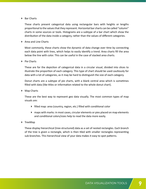#### ▶ Bar Charts

These charts present categorical data using rectangular bars with heights or lengths proportional to the values that they represent. Horizontal bar charts can be called "column" charts in some sources or tools. Histograms are a subtype of a bar chart which show the distribution of the data inside a category, rather than the values of different categories.

▶ Area and Line Charts

Most commonly, these charts show the dynamic of data change over time by connecting each data point with lines, which helps to easily identify a trend. Area charts fill the area below the line with color. This can be useful in the case of stacked area charts.

 $\triangleright$  Pie Charts

These are for the depiction of categorical data in a circular visual, divided into slices to illustrate the proportion of each category. This type of chart should be used cautiously for data with a lot of categories, as it may be hard to distinguish the size of each category.

Donut charts are a subtype of pie charts, with a blank central area which is sometimes filled with data (like titles or information related to the whole donut chart).

▶ Map Charts

These are the best way to represent geo data visually. The most common types of map visuals are:

- filled map: area (country, region, etc.) filled with conditional color
- maps with marks: in most cases, circular elements or pies placed on map elements and conditional colors/sizes help to read the data more easily.
- ▶ TreeMap

These display hierarchical (tree-structured) data as a set of nested rectangles. Each branch of the tree is given a rectangle, which is then tiled with smaller rectangles representing sub-branches. This hierarchical view of your data makes it easy to spot patterns.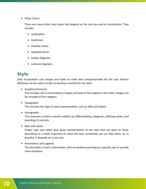▶ Other Charts

There are many other chart types that depend on the tool you use for visualization. They include:

- scatterplots
- ▶ Gantt bars
- $\blacktriangleright$  timeline charts
- ▶ waterfall charts
- Sankey diagrams
- sunburst diagrams

### **Style**

Data visualization uses shapes and styles to make data comprehensible for the user. Various attributes can be used in order to develop a context for the data.

▶ Graphical Elements

This includes, but is not limited to, shapes and sizes of the subjects in the chart. Images can be included in this category.

▶ Typography

This includes the type of word representation, such as titles and labels.

Iconography

This improves a chart's overall usability by differentiating categories, defining states, and providing UI controls.

▶ Axes and Labels

Proper axes and labels give good representation of the data that we want to show. Sometimes it is really important to show the axes; sometimes we can hide them, so, in practice, it depends on a use case.

▶ Annotations and Legends

This describes a chart's information, with annotations pointing to a specific part to provide more emphasis.